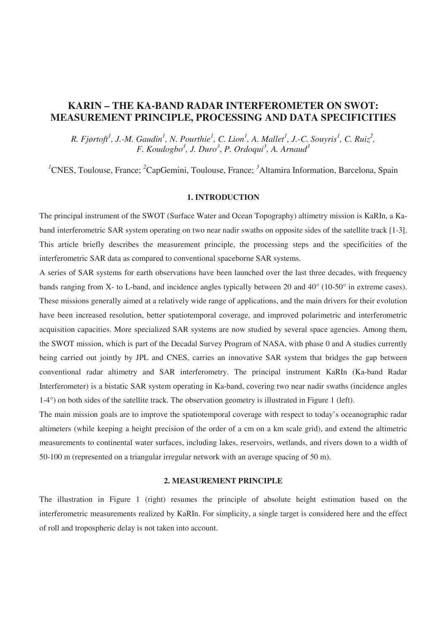# **KARIN – THE KA-BAND RADAR INTERFEROMETER ON SWOT: MEASUREMENT PRINCIPLE, PROCESSING AND DATA SPECIFICITIES**

*R. Fjørtoft<sup>1</sup>, J.-M. Gaudin<sup>1</sup>, N. Pourthie<sup>1</sup>, C. Lion<sup>1</sup>, A. Mallet<sup>1</sup>, J.-C. Souyris<sup>1</sup>, C. Ruiz<sup>2</sup>, F. Koudogbo3 , J. Duro<sup>3</sup>* , *P. Ordoqui<sup>3</sup> , A. Arnaud<sup>3</sup>*

<sup>1</sup>CNES, Toulouse, France; <sup>2</sup>CapGemini, Toulouse, France; <sup>3</sup>Altamira Information, Barcelona, Spain

## **1. INTRODUCTION**

The principal instrument of the SWOT (Surface Water and Ocean Topography) altimetry mission is KaRIn, a Kaband interferometric SAR system operating on two near nadir swaths on opposite sides of the satellite track [1-3]. This article briefly describes the measurement principle, the processing steps and the specificities of the interferometric SAR data as compared to conventional spaceborne SAR systems.

A series of SAR systems for earth observations have been launched over the last three decades, with frequency bands ranging from X- to L-band, and incidence angles typically between 20 and 40° (10-50° in extreme cases). These missions generally aimed at a relatively wide range of applications, and the main drivers for their evolution have been increased resolution, better spatiotemporal coverage, and improved polarimetric and interferometric acquisition capacities. More specialized SAR systems are now studied by several space agencies. Among them, the SWOT mission, which is part of the Decadal Survey Program of NASA, with phase 0 and A studies currently being carried out jointly by JPL and CNES, carries an innovative SAR system that bridges the gap between conventional radar altimetry and SAR interferometry. The principal instrument KaRIn (Ka-band Radar Interferometer) is a bistatic SAR system operating in Ka-band, covering two near nadir swaths (incidence angles 1-4°) on both sides of the satellite track. The observation geometry is illustrated in Figure 1 (left).

The main mission goals are to improve the spatiotemporal coverage with respect to today's oceanographic radar altimeters (while keeping a height precision of the order of a cm on a km scale grid), and extend the altimetric measurements to continental water surfaces, including lakes, reservoirs, wetlands, and rivers down to a width of 50-100 m (represented on a triangular irregular network with an average spacing of 50 m).

# **2. MEASUREMENT PRINCIPLE**

The illustration in Figure 1 (right) resumes the principle of absolute height estimation based on the interferometric measurements realized by KaRIn. For simplicity, a single target is considered here and the effect of roll and tropospheric delay is not taken into account.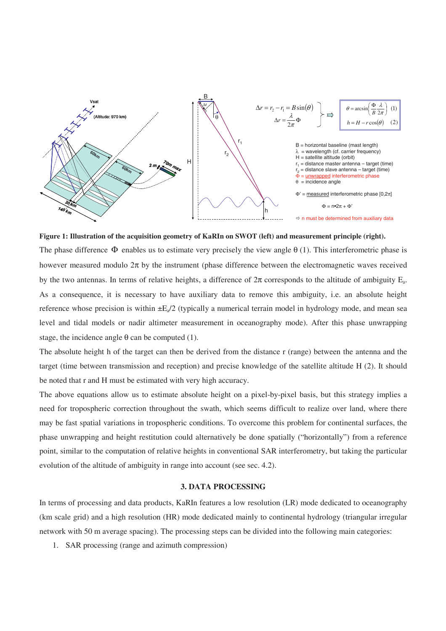

**Figure 1: Illustration of the acquisition geometry of KaRIn on SWOT (left) and measurement principle (right).** 

The phase difference  $\Phi$  enables us to estimate very precisely the view angle  $\theta$  (1). This interferometric phase is however measured modulo  $2\pi$  by the instrument (phase difference between the electromagnetic waves received by the two antennas. In terms of relative heights, a difference of  $2\pi$  corresponds to the altitude of ambiguity E<sub>a</sub>. As a consequence, it is necessary to have auxiliary data to remove this ambiguity, i.e. an absolute height reference whose precision is within  $\pm E_0/2$  (typically a numerical terrain model in hydrology mode, and mean sea level and tidal models or nadir altimeter measurement in oceanography mode). After this phase unwrapping stage, the incidence angle  $\theta$  can be computed (1).

The absolute height h of the target can then be derived from the distance r (range) between the antenna and the target (time between transmission and reception) and precise knowledge of the satellite altitude H (2). It should be noted that r and H must be estimated with very high accuracy.

The above equations allow us to estimate absolute height on a pixel-by-pixel basis, but this strategy implies a need for tropospheric correction throughout the swath, which seems difficult to realize over land, where there may be fast spatial variations in tropospheric conditions. To overcome this problem for continental surfaces, the phase unwrapping and height restitution could alternatively be done spatially ("horizontally") from a reference point, similar to the computation of relative heights in conventional SAR interferometry, but taking the particular evolution of the altitude of ambiguity in range into account (see sec. 4.2).

#### **3. DATA PROCESSING**

In terms of processing and data products, KaRIn features a low resolution (LR) mode dedicated to oceanography (km scale grid) and a high resolution (HR) mode dedicated mainly to continental hydrology (triangular irregular network with 50 m average spacing). The processing steps can be divided into the following main categories:

1. SAR processing (range and azimuth compression)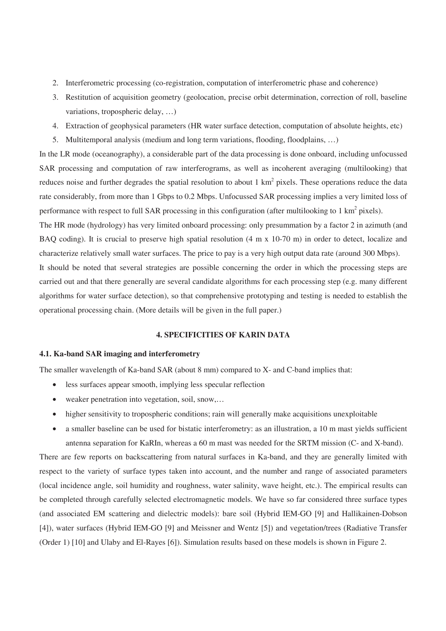- 2. Interferometric processing (co-registration, computation of interferometric phase and coherence)
- 3. Restitution of acquisition geometry (geolocation, precise orbit determination, correction of roll, baseline variations, tropospheric delay, …)
- 4. Extraction of geophysical parameters (HR water surface detection, computation of absolute heights, etc)
- 5. Multitemporal analysis (medium and long term variations, flooding, floodplains, …)

In the LR mode (oceanography), a considerable part of the data processing is done onboard, including unfocussed SAR processing and computation of raw interferograms, as well as incoherent averaging (multilooking) that reduces noise and further degrades the spatial resolution to about 1  $km^2$  pixels. These operations reduce the data rate considerably, from more than 1 Gbps to 0.2 Mbps. Unfocussed SAR processing implies a very limited loss of performance with respect to full SAR processing in this configuration (after multilooking to 1 km<sup>2</sup> pixels).

The HR mode (hydrology) has very limited onboard processing: only presummation by a factor 2 in azimuth (and BAQ coding). It is crucial to preserve high spatial resolution (4 m x 10-70 m) in order to detect, localize and characterize relatively small water surfaces. The price to pay is a very high output data rate (around 300 Mbps).

It should be noted that several strategies are possible concerning the order in which the processing steps are carried out and that there generally are several candidate algorithms for each processing step (e.g. many different algorithms for water surface detection), so that comprehensive prototyping and testing is needed to establish the operational processing chain. (More details will be given in the full paper.)

## **4. SPECIFICITIES OF KARIN DATA**

#### **4.1. Ka-band SAR imaging and interferometry**

The smaller wavelength of Ka-band SAR (about 8 mm) compared to X- and C-band implies that:

- less surfaces appear smooth, implying less specular reflection
- weaker penetration into vegetation, soil, snow....
- higher sensitivity to tropospheric conditions; rain will generally make acquisitions unexploitable
- a smaller baseline can be used for bistatic interferometry: as an illustration, a 10 m mast yields sufficient antenna separation for KaRIn, whereas a 60 m mast was needed for the SRTM mission (C- and X-band).

There are few reports on backscattering from natural surfaces in Ka-band, and they are generally limited with respect to the variety of surface types taken into account, and the number and range of associated parameters (local incidence angle, soil humidity and roughness, water salinity, wave height, etc.). The empirical results can be completed through carefully selected electromagnetic models. We have so far considered three surface types (and associated EM scattering and dielectric models): bare soil (Hybrid IEM-GO [9] and Hallikainen-Dobson [4]), water surfaces (Hybrid IEM-GO [9] and Meissner and Wentz [5]) and vegetation/trees (Radiative Transfer (Order 1) [10] and Ulaby and El-Rayes [6]). Simulation results based on these models is shown in Figure 2.